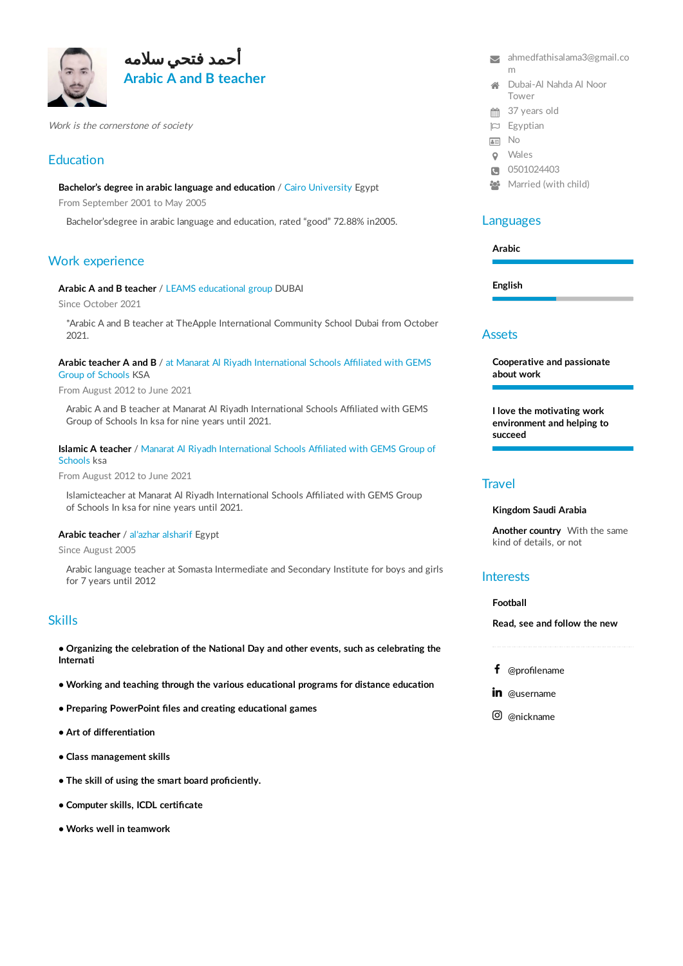



Work is the cornerstone of society

# **Education**

**Bachelor's degree in arabic language and education** / Cairo University Egypt

From September 2001 to May 2005

Bachelor'sdegree in arabic language and education, rated "good" 72.88% in2005.

# Work experience

**Arabic A and B teacher** / LEAMS educational group DUBAI

Since October 2021

\*Arabic A and B teacher at TheApple International Community School Dubai from October 2021.

**Arabic teacher A and B** / at Manarat Al Riyadh International Schools Affiliated with GEMS Group of Schools KSA

From August 2012 to June 2021

Arabic A and B teacher at Manarat Al Riyadh International Schools Affiliated with GEMS Group of Schools In ksa for nine years until 2021.

### **Islamic A teacher** / Manarat Al Riyadh International Schools Affiliated with GEMS Group of Schools ksa

From August 2012 to June 2021

Islamicteacher at Manarat Al Riyadh International Schools Affiliated with GEMS Group of Schools In ksa for nine years until 2021.

#### **Arabic teacher** / al'azhar alsharif Egypt

Since August 2005

Arabic language teacher at Somasta Intermediate and Secondary Institute for boys and girls for 7 years until 2012

## Skills

**• Organizing the celebration of the National Day and other events, such as celebrating the Internati**

- **• Working and teaching through the various educational programs for distance education**
- **• Preparing PowerPoint files and creating educational games**
- **• Art of differentiation**
- **• Class management skills**
- **• The skill of using the smart board proficiently.**
- **• Computer skills, ICDL certificate**
- **• Works well in teamwork**
- [ahmedfathisalama3@gmail.co](mailto:ahmedfathisalama3@gmail.com) m  $\overline{\mathbf{v}}$
- Dubai-Al Nahda Al Noor Tower
- **37 years old**
- Egyptian
- **AE** No
- Wales
- C 0501024403
- **Married (with child)**

## Languages

**Arabic**

**English**

### Assets

**Cooperative and passionate about work**

**I love the motivating work environment and helping to succeed**

# **Travel**

### **Kingdom Saudi Arabia**

**Another country** With the same kind of details, or not

## **Interests**

#### **Football**

**Read, see and follow the new**

- @profilename
- in @username
- @nickname